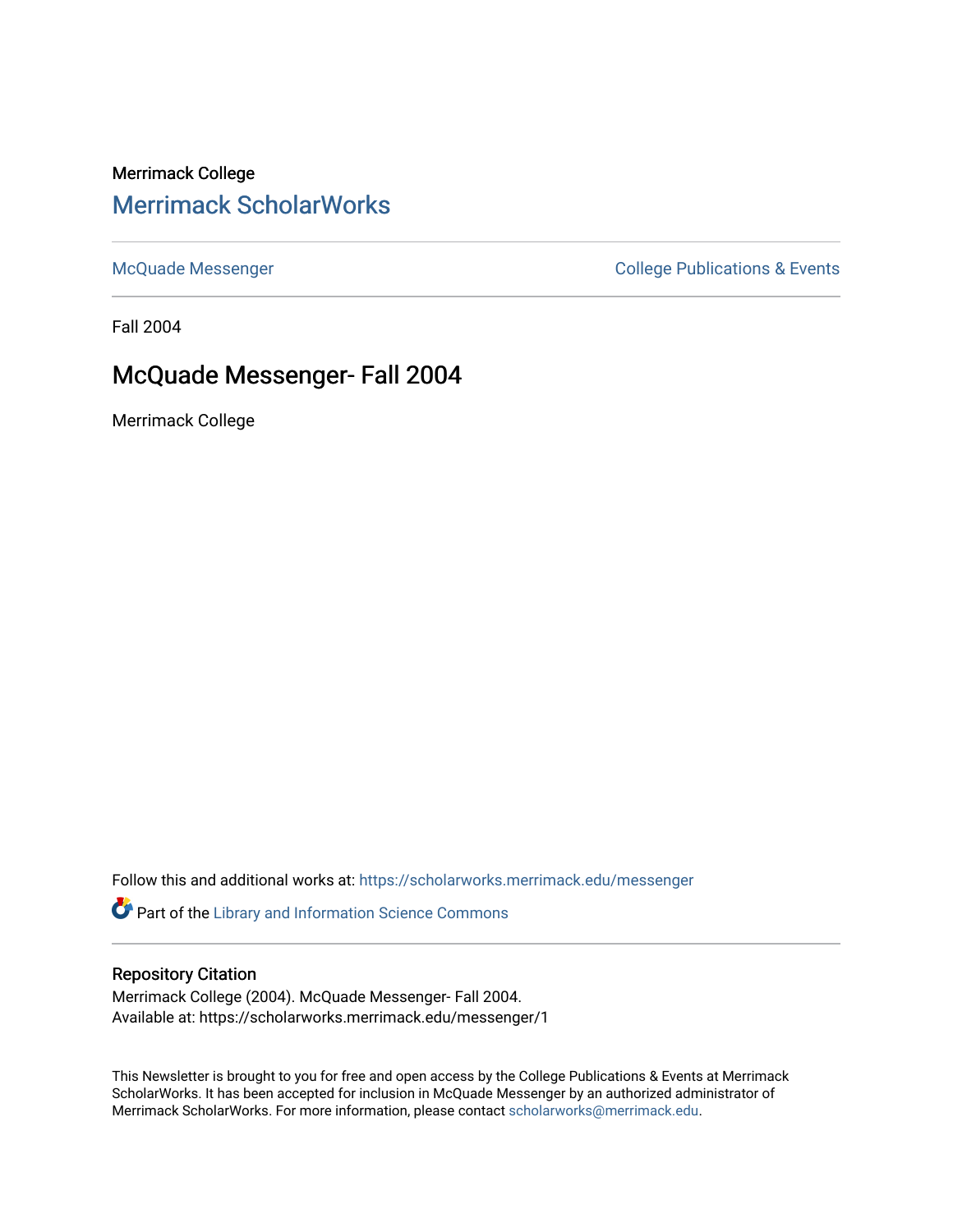# Merrimack College [Merrimack ScholarWorks](https://scholarworks.merrimack.edu/)

[McQuade Messenger](https://scholarworks.merrimack.edu/messenger) College Publications & Events

Fall 2004

# McQuade Messenger- Fall 2004

Merrimack College

Follow this and additional works at: [https://scholarworks.merrimack.edu/messenger](https://scholarworks.merrimack.edu/messenger?utm_source=scholarworks.merrimack.edu%2Fmessenger%2F1&utm_medium=PDF&utm_campaign=PDFCoverPages) 

Part of the [Library and Information Science Commons](http://network.bepress.com/hgg/discipline/1018?utm_source=scholarworks.merrimack.edu%2Fmessenger%2F1&utm_medium=PDF&utm_campaign=PDFCoverPages) 

### Repository Citation

Merrimack College (2004). McQuade Messenger- Fall 2004. Available at: https://scholarworks.merrimack.edu/messenger/1

This Newsletter is brought to you for free and open access by the College Publications & Events at Merrimack ScholarWorks. It has been accepted for inclusion in McQuade Messenger by an authorized administrator of Merrimack ScholarWorks. For more information, please contact [scholarworks@merrimack.edu](mailto:scholarworks@merrimack.edu).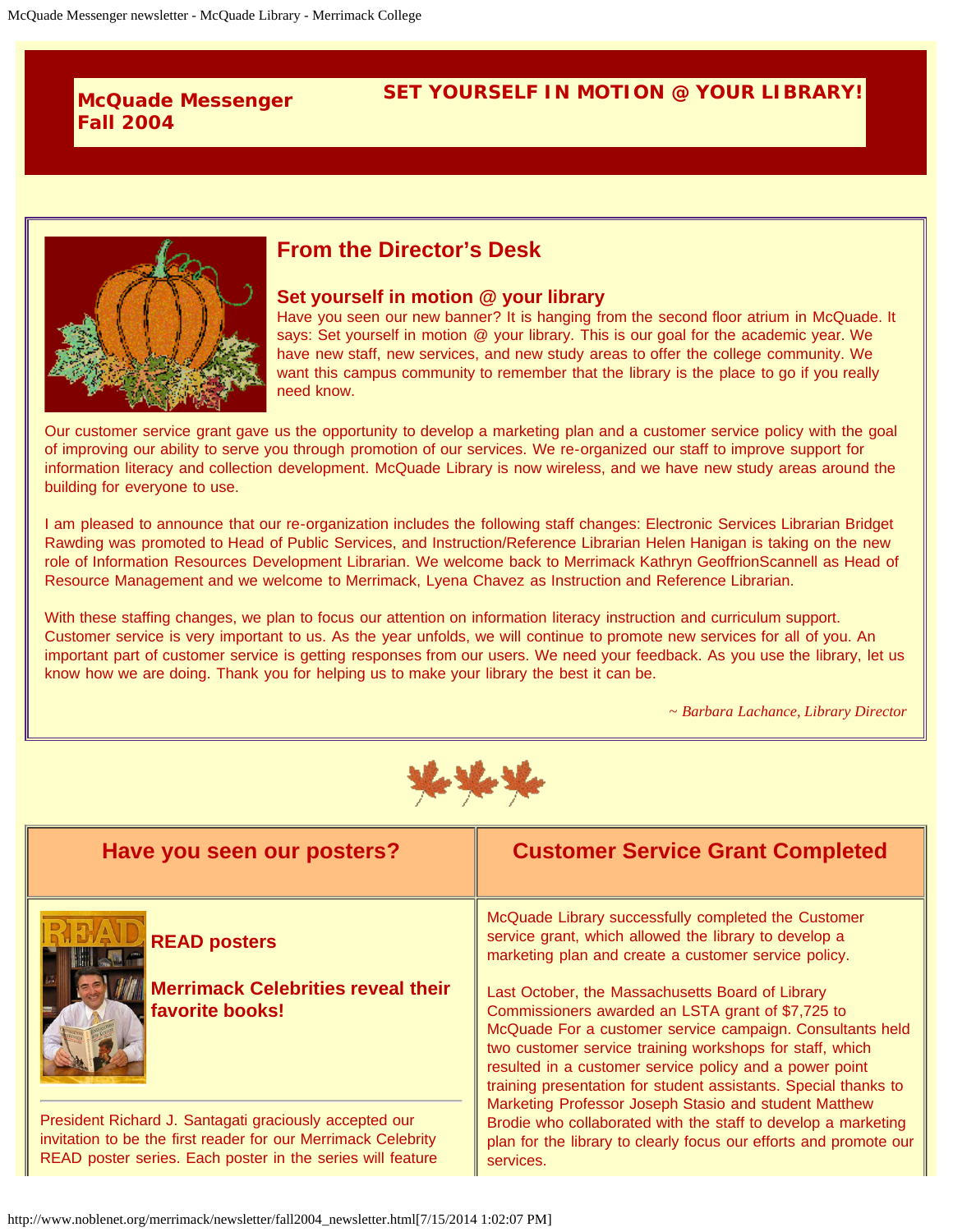## **McQuade Messenger Fall 2004**

## **SET YOURSELF IN MOTION @ YOUR LIBRARY!**



# **From the Director's Desk**

#### **Set yourself in motion @ your library**

Have you seen our new banner? It is hanging from the second floor atrium in McQuade. It says: Set yourself in motion @ your library. This is our goal for the academic year. We have new staff, new services, and new study areas to offer the college community. We want this campus community to remember that the library is the place to go if you really need know.

Our customer service grant gave us the opportunity to develop a marketing plan and a customer service policy with the goal of improving our ability to serve you through promotion of our services. We re-organized our staff to improve support for information literacy and collection development. McQuade Library is now wireless, and we have new study areas around the building for everyone to use.

I am pleased to announce that our re-organization includes the following staff changes: Electronic Services Librarian Bridget Rawding was promoted to Head of Public Services, and Instruction/Reference Librarian Helen Hanigan is taking on the new role of Information Resources Development Librarian. We welcome back to Merrimack Kathryn GeoffrionScannell as Head of Resource Management and we welcome to Merrimack, Lyena Chavez as Instruction and Reference Librarian.

With these staffing changes, we plan to focus our attention on information literacy instruction and curriculum support. Customer service is very important to us. As the year unfolds, we will continue to promote new services for all of you. An important part of customer service is getting responses from our users. We need your feedback. As you use the library, let us know how we are doing. Thank you for helping us to make your library the best it can be.

*~ Barbara Lachance, Library Director*



| Have you seen our posters?                                                                                                                                                            | <b>Customer Service Grant Completed</b>                                                                                                                                                                                                                                                                                                                                                                                                                                                                                                                                                       |
|---------------------------------------------------------------------------------------------------------------------------------------------------------------------------------------|-----------------------------------------------------------------------------------------------------------------------------------------------------------------------------------------------------------------------------------------------------------------------------------------------------------------------------------------------------------------------------------------------------------------------------------------------------------------------------------------------------------------------------------------------------------------------------------------------|
| <b>READ posters</b><br><b>Merrimack Celebrities reveal their</b><br>favorite books!                                                                                                   | McQuade Library successfully completed the Customer<br>service grant, which allowed the library to develop a<br>marketing plan and create a customer service policy.<br>Last October, the Massachusetts Board of Library<br>Commissioners awarded an LSTA grant of \$7,725 to<br>McQuade For a customer service campaign. Consultants held<br>two customer service training workshops for staff, which<br>resulted in a customer service policy and a power point<br>training presentation for student assistants. Special thanks to<br>Marketing Professor Joseph Stasio and student Matthew |
| President Richard J. Santagati graciously accepted our<br>invitation to be the first reader for our Merrimack Celebrity<br>READ poster series. Each poster in the series will feature | Brodie who collaborated with the staff to develop a marketing<br>plan for the library to clearly focus our efforts and promote our<br>services.                                                                                                                                                                                                                                                                                                                                                                                                                                               |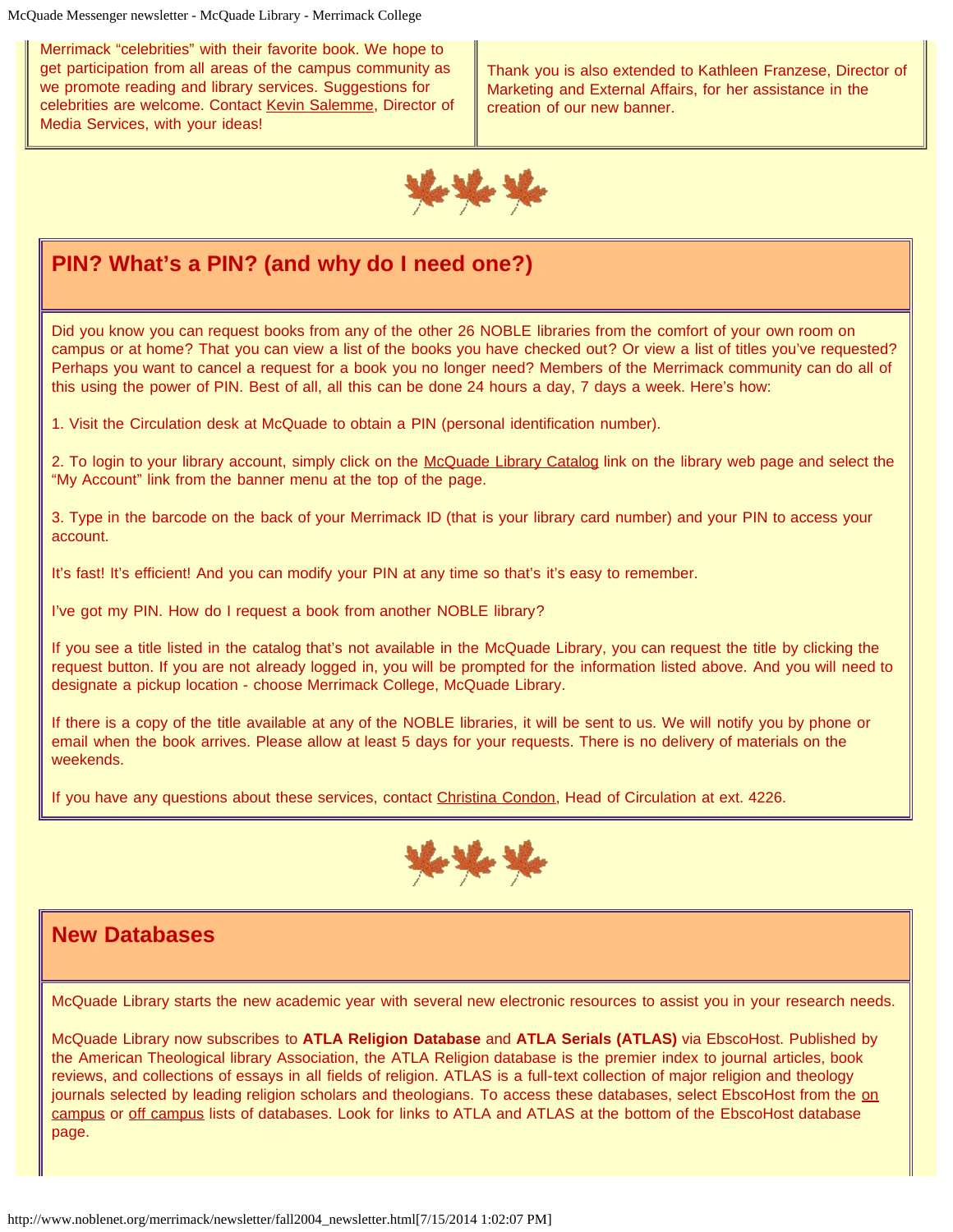McQuade Messenger newsletter - McQuade Library - Merrimack College

Merrimack "celebrities" with their favorite book. We hope to get participation from all areas of the campus community as we promote reading and library services. Suggestions for celebrities are welcome. Contact [Kevin Salemme](mailto:kevin.salemme@Merrimack.edu), Director of Media Services, with your ideas!

Thank you is also extended to Kathleen Franzese, Director of Marketing and External Affairs, for her assistance in the creation of our new banner.



# **PIN? What's a PIN? (and why do I need one?)**

Did you know you can request books from any of the other 26 NOBLE libraries from the comfort of your own room on campus or at home? That you can view a list of the books you have checked out? Or view a list of titles you've requested? Perhaps you want to cancel a request for a book you no longer need? Members of the Merrimack community can do all of this using the power of PIN. Best of all, all this can be done 24 hours a day, 7 days a week. Here's how:

1. Visit the Circulation desk at McQuade to obtain a PIN (personal identification number).

2. To login to your library account, simply click on the [McQuade Library Catalog](http://catalog.noblenet.org/search%7ES40/) link on the library web page and select the "My Account" link from the banner menu at the top of the page.

3. Type in the barcode on the back of your Merrimack ID (that is your library card number) and your PIN to access your account.

It's fast! It's efficient! And you can modify your PIN at any time so that's it's easy to remember.

I've got my PIN. How do I request a book from another NOBLE library?

If you see a title listed in the catalog that's not available in the McQuade Library, you can request the title by clicking the request button. If you are not already logged in, you will be prompted for the information listed above. And you will need to designate a pickup location - choose Merrimack College, McQuade Library.

If there is a copy of the title available at any of the NOBLE libraries, it will be sent to us. We will notify you by phone or email when the book arrives. Please allow at least 5 days for your requests. There is no delivery of materials on the weekends.

If you have any questions about these services, contact [Christina Condon,](mailto:christina.condon@Merrimack.edu) Head of Circulation at ext. 4226.



# **New Databases**

McQuade Library starts the new academic year with several new electronic resources to assist you in your research needs.

McQuade Library now subscribes to **ATLA Religion Database** and **ATLA Serials (ATLAS)** via EbscoHost. Published by the American Theological library Association, the ATLA Religion database is the premier index to journal articles, book reviews, and collections of essays in all fields of religion. ATLAS is a full-text collection of major religion and theology journals selected by leading religi[on](http://www.noblenet.org/merrimack/newsletter/arton.htm) scholars and theologians. To access these databases, select EbscoHost from the on [campus](http://www.noblenet.org/merrimack/newsletter/arton.htm) or [off campus](http://www.noblenet.org/merrimack/newsletter/artoff.htm) lists of databases. Look for links to ATLA and ATLAS at the bottom of the EbscoHost database page.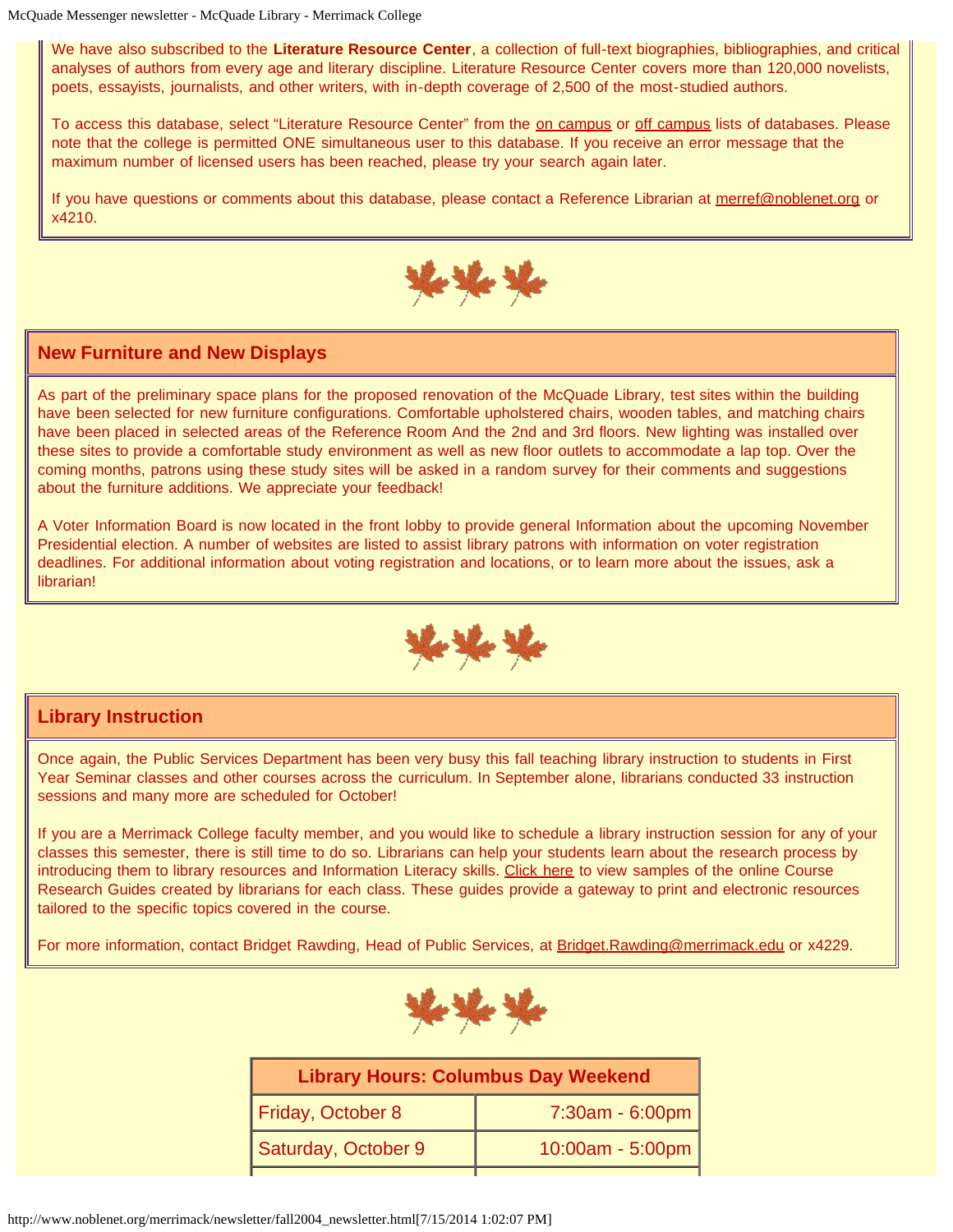We have also subscribed to the **Literature Resource Center**, a collection of full-text biographies, bibliographies, and critical analyses of authors from every age and literary discipline. Literature Resource Center covers more than 120,000 novelists, poets, essayists, journalists, and other writers, with in-depth coverage of 2,500 of the most-studied authors.

To access this database, select "Literature Resource Center" from the [on campus](http://www.noblenet.org/merrimack/newsletter/arton.htm) or [off campus](http://www.noblenet.org/merrimack/newsletter/artoff.htm) lists of databases. Please note that the college is permitted ONE simultaneous user to this database. If you receive an error message that the maximum number of licensed users has been reached, please try your search again later.

If you have questions or comments about this database, please contact a Reference Librarian at [merref@noblenet.org](mailto:merref@noblenet.org) or x4210.



## **New Furniture and New Displays**

As part of the preliminary space plans for the proposed renovation of the McQuade Library, test sites within the building have been selected for new furniture configurations. Comfortable upholstered chairs, wooden tables, and matching chairs have been placed in selected areas of the Reference Room And the 2nd and 3rd floors. New lighting was installed over these sites to provide a comfortable study environment as well as new floor outlets to accommodate a lap top. Over the coming months, patrons using these study sites will be asked in a random survey for their comments and suggestions about the furniture additions. We appreciate your feedback!

A Voter Information Board is now located in the front lobby to provide general Information about the upcoming November Presidential election. A number of websites are listed to assist library patrons with information on voter registration deadlines. For additional information about voting registration and locations, or to learn more about the issues, ask a librarian!



### **Library Instruction**

Once again, the Public Services Department has been very busy this fall teaching library instruction to students in First Year Seminar classes and other courses across the curriculum. In September alone, librarians conducted 33 instruction sessions and many more are scheduled for October!

If you are a Merrimack College faculty member, and you would like to schedule a library instruction session for any of your classes this semester, there is still time to do so. Librarians can help your students learn about the research process by introducing them to library resources and Information Literacy skills. [Click here](http://www.noblenet.org/merrimack/newsletter/crg.htm) to view samples of the online Course Research Guides created by librarians for each class. These guides provide a gateway to print and electronic resources tailored to the specific topics covered in the course.

For more information, contact Bridget Rawding, Head of Public Services, at [Bridget.Rawding@merrimack.edu](mailto:Bridget.Rawding@merrimack.edu) or x4229.



| <b>Library Hours: Columbus Day Weekend</b> |                  |
|--------------------------------------------|------------------|
| Friday, October 8                          | 7:30am - 6:00pm  |
| Saturday, October 9                        | 10:00am - 5:00pm |